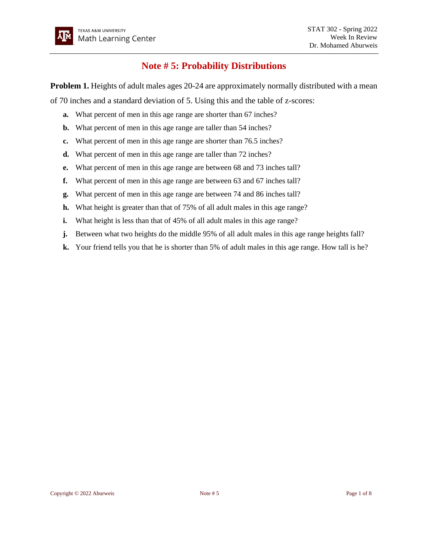## **Note # 5: Probability Distributions**

**Problem 1.** Heights of adult males ages 20-24 are approximately normally distributed with a mean

of 70 inches and a standard deviation of 5. Using this and the table of z-scores:

- **a.** What percent of men in this age range are shorter than 67 inches?
- **b.** What percent of men in this age range are taller than 54 inches?
- **c.** What percent of men in this age range are shorter than 76.5 inches?
- **d.** What percent of men in this age range are taller than 72 inches?
- **e.** What percent of men in this age range are between 68 and 73 inches tall?
- **f.** What percent of men in this age range are between 63 and 67 inches tall?
- **g.** What percent of men in this age range are between 74 and 86 inches tall?
- **h.** What height is greater than that of 75% of all adult males in this age range?
- **i.** What height is less than that of 45% of all adult males in this age range?
- **j.** Between what two heights do the middle 95% of all adult males in this age range heights fall?
- **k.** Your friend tells you that he is shorter than 5% of adult males in this age range. How tall is he?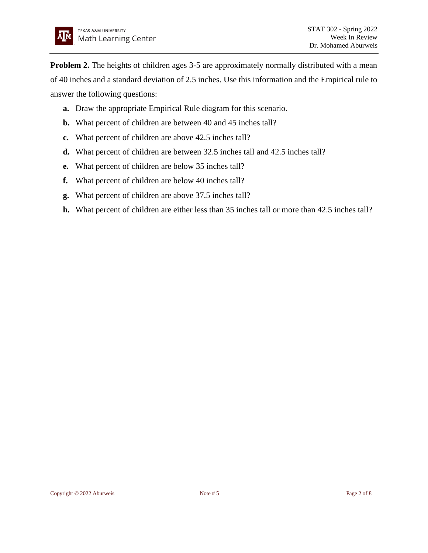**Problem 2.** The heights of children ages 3-5 are approximately normally distributed with a mean of 40 inches and a standard deviation of 2.5 inches. Use this information and the Empirical rule to answer the following questions:

- **a.** Draw the appropriate Empirical Rule diagram for this scenario.
- **b.** What percent of children are between 40 and 45 inches tall?
- **c.** What percent of children are above 42.5 inches tall?
- **d.** What percent of children are between 32.5 inches tall and 42.5 inches tall?
- **e.** What percent of children are below 35 inches tall?
- **f.** What percent of children are below 40 inches tall?
- **g.** What percent of children are above 37.5 inches tall?
- **h.** What percent of children are either less than 35 inches tall or more than 42.5 inches tall?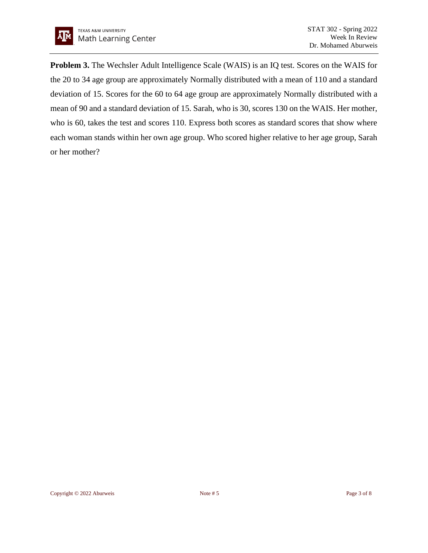**Problem 3.** The Wechsler Adult Intelligence Scale (WAIS) is an IQ test. Scores on the WAIS for the 20 to 34 age group are approximately Normally distributed with a mean of 110 and a standard deviation of 15. Scores for the 60 to 64 age group are approximately Normally distributed with a mean of 90 and a standard deviation of 15. Sarah, who is 30, scores 130 on the WAIS. Her mother, who is 60, takes the test and scores 110. Express both scores as standard scores that show where each woman stands within her own age group. Who scored higher relative to her age group, Sarah or her mother?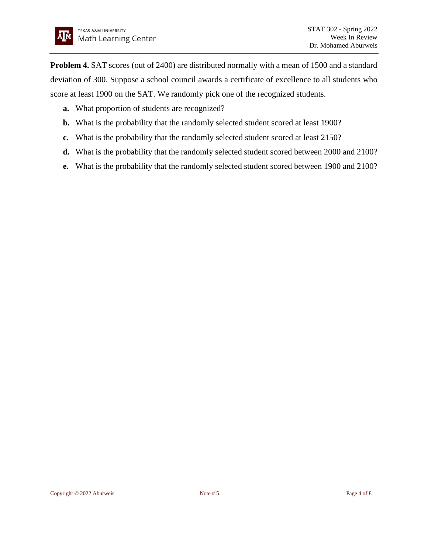**Problem 4.** SAT scores (out of 2400) are distributed normally with a mean of 1500 and a standard deviation of 300. Suppose a school council awards a certificate of excellence to all students who score at least 1900 on the SAT. We randomly pick one of the recognized students.

- **a.** What proportion of students are recognized?
- **b.** What is the probability that the randomly selected student scored at least 1900?
- **c.** What is the probability that the randomly selected student scored at least 2150?
- **d.** What is the probability that the randomly selected student scored between 2000 and 2100?
- **e.** What is the probability that the randomly selected student scored between 1900 and 2100?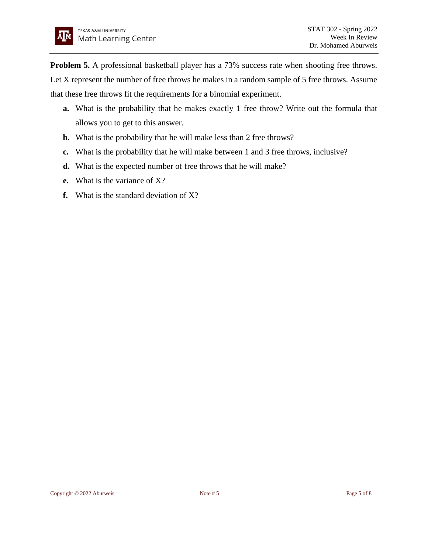**Problem 5.** A professional basketball player has a 73% success rate when shooting free throws. Let X represent the number of free throws he makes in a random sample of 5 free throws. Assume that these free throws fit the requirements for a binomial experiment.

- **a.** What is the probability that he makes exactly 1 free throw? Write out the formula that allows you to get to this answer.
- **b.** What is the probability that he will make less than 2 free throws?
- **c.** What is the probability that he will make between 1 and 3 free throws, inclusive?
- **d.** What is the expected number of free throws that he will make?
- **e.** What is the variance of X?
- **f.** What is the standard deviation of X?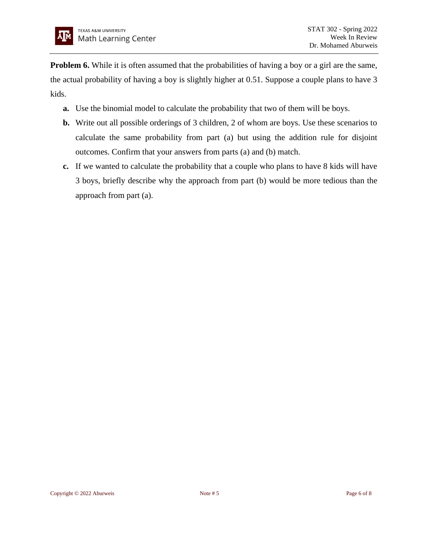**Problem 6.** While it is often assumed that the probabilities of having a boy or a girl are the same, the actual probability of having a boy is slightly higher at 0.51. Suppose a couple plans to have 3 kids.

- **a.** Use the binomial model to calculate the probability that two of them will be boys.
- **b.** Write out all possible orderings of 3 children, 2 of whom are boys. Use these scenarios to calculate the same probability from part (a) but using the addition rule for disjoint outcomes. Confirm that your answers from parts (a) and (b) match.
- **c.** If we wanted to calculate the probability that a couple who plans to have 8 kids will have 3 boys, briefly describe why the approach from part (b) would be more tedious than the approach from part (a).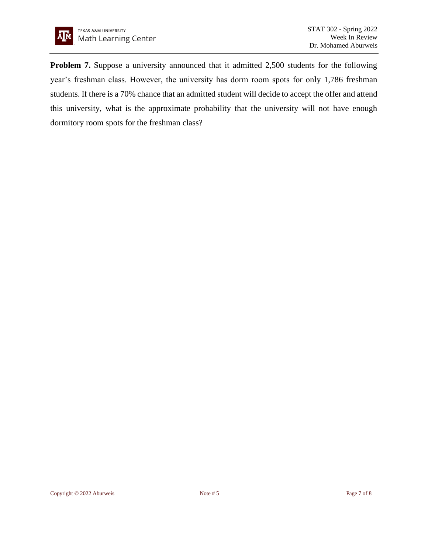

**Problem 7.** Suppose a university announced that it admitted 2,500 students for the following year's freshman class. However, the university has dorm room spots for only 1,786 freshman students. If there is a 70% chance that an admitted student will decide to accept the offer and attend this university, what is the approximate probability that the university will not have enough dormitory room spots for the freshman class?